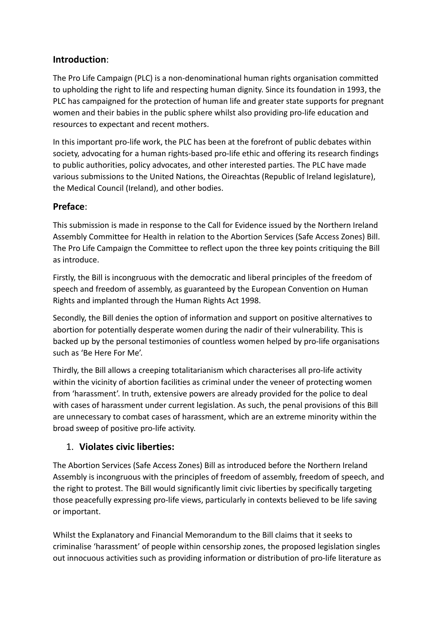#### **Introduction**:

The Pro Life Campaign (PLC) is a non-denominational human rights organisation committed to upholding the right to life and respecting human dignity. Since its foundation in 1993, the PLC has campaigned for the protection of human life and greater state supports for pregnant women and their babies in the public sphere whilst also providing pro-life education and resources to expectant and recent mothers.

In this important pro-life work, the PLC has been at the forefront of public debates within society, advocating for a human rights-based pro-life ethic and offering its research findings to public authorities, policy advocates, and other interested parties. The PLC have made various submissions to the United Nations, the Oireachtas (Republic of Ireland legislature), the Medical Council (Ireland), and other bodies.

## **Preface**:

This submission is made in response to the Call for Evidence issued by the Northern Ireland Assembly Committee for Health in relation to the Abortion Services (Safe Access Zones) Bill. The Pro Life Campaign the Committee to reflect upon the three key points critiquing the Bill as introduce.

Firstly, the Bill is incongruous with the democratic and liberal principles of the freedom of speech and freedom of assembly, as guaranteed by the European Convention on Human Rights and implanted through the Human Rights Act 1998.

Secondly, the Bill denies the option of information and support on positive alternatives to abortion for potentially desperate women during the nadir of their vulnerability. This is backed up by the personal testimonies of countless women helped by pro-life organisations such as 'Be Here For Me'.

Thirdly, the Bill allows a creeping totalitarianism which characterises all pro-life activity within the vicinity of abortion facilities as criminal under the veneer of protecting women from 'harassment'. In truth, extensive powers are already provided for the police to deal with cases of harassment under current legislation. As such, the penal provisions of this Bill are unnecessary to combat cases of harassment, which are an extreme minority within the broad sweep of positive pro-life activity.

# 1. **Violates civic liberties:**

The Abortion Services (Safe Access Zones) Bill as introduced before the Northern Ireland Assembly is incongruous with the principles of freedom of assembly, freedom of speech, and the right to protest. The Bill would significantly limit civic liberties by specifically targeting those peacefully expressing pro-life views, particularly in contexts believed to be life saving or important.

Whilst the Explanatory and Financial Memorandum to the Bill claims that it seeks to criminalise 'harassment' of people within censorship zones, the proposed legislation singles out innocuous activities such as providing information or distribution of pro-life literature as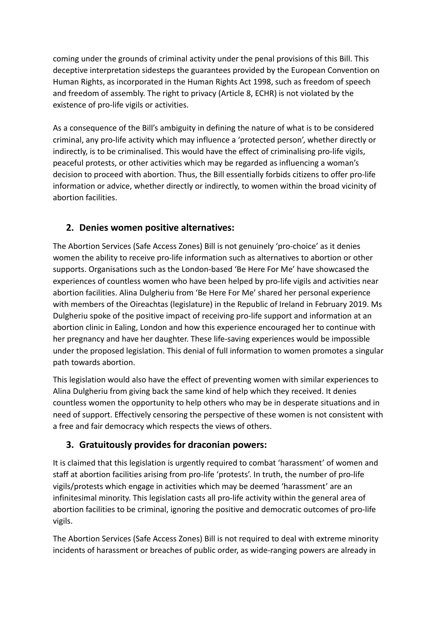coming under the grounds of criminal activity under the penal provisions of this Bill. This deceptive interpretation sidesteps the guarantees provided by the European Convention on Human Rights, as incorporated in the Human Rights Act 1998, such as freedom of speech and freedom of assembly. The right to privacy (Article 8, ECHR) is not violated by the existence of pro-life vigils or activities.

As a consequence of the Bill's ambiguity in defining the nature of what is to be considered criminal, any pro-life activity which may influence a 'protected person', whether directly or indirectly, is to be criminalised. This would have the effect of criminalising pro-life vigils, peaceful protests, or other activities which may be regarded as influencing a woman's decision to proceed with abortion. Thus, the Bill essentially forbids citizens to offer pro-life information or advice, whether directly or indirectly, to women within the broad vicinity of abortion facilities.

## **2. Denies women positive alternatives:**

The Abortion Services (Safe Access Zones) Bill is not genuinely 'pro-choice' as it denies women the ability to receive pro-life information such as alternatives to abortion or other supports. Organisations such as the London-based 'Be Here For Me' have showcased the experiences of countless women who have been helped by pro-life vigils and activities near abortion facilities. Alina Dulgheriu from 'Be Here For Me' shared her personal experience with members of the Oireachtas (legislature) in the Republic of Ireland in February 2019. Ms Dulgheriu spoke of the positive impact of receiving pro-life support and information at an abortion clinic in Ealing, London and how this experience encouraged her to continue with her pregnancy and have her daughter. These life-saving experiences would be impossible under the proposed legislation. This denial of full information to women promotes a singular path towards abortion.

This legislation would also have the effect of preventing women with similar experiences to Alina Dulgheriu from giving back the same kind of help which they received. It denies countless women the opportunity to help others who may be in desperate situations and in need of support. Effectively censoring the perspective of these women is not consistent with a free and fair democracy which respects the views of others.

#### **3. Gratuitously provides for draconian powers:**

It is claimed that this legislation is urgently required to combat 'harassment' of women and staff at abortion facilities arising from pro-life 'protests'. In truth, the number of pro-life vigils/protests which engage in activities which may be deemed 'harassment' are an infinitesimal minority. This legislation casts all pro-life activity within the general area of abortion facilities to be criminal, ignoring the positive and democratic outcomes of pro-life vigils.

The Abortion Services (Safe Access Zones) Bill is not required to deal with extreme minority incidents of harassment or breaches of public order, as wide-ranging powers are already in